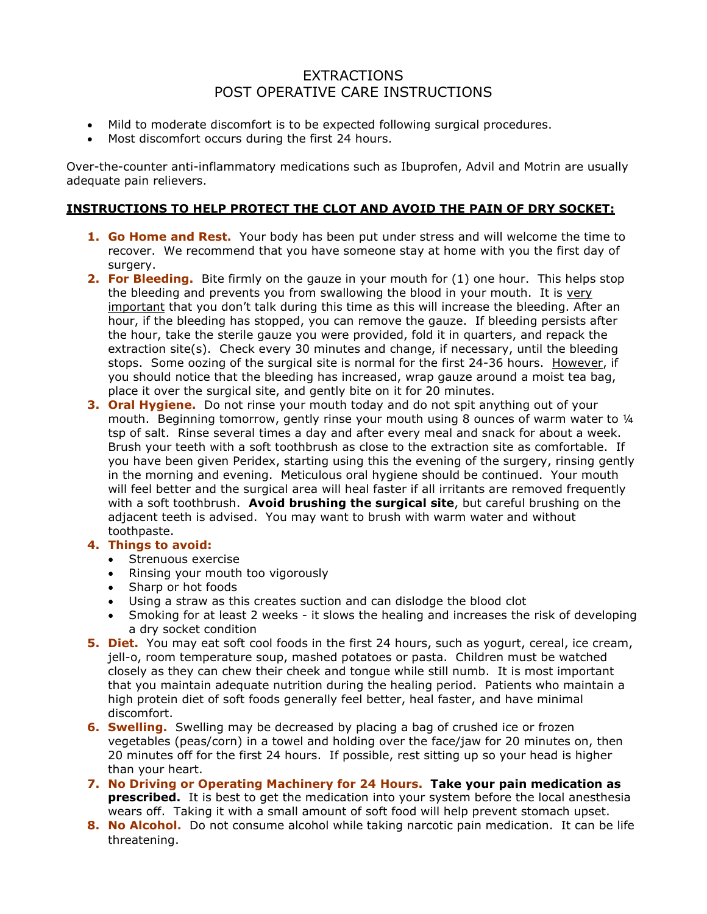## **EXTRACTIONS** POST OPERATIVE CARE INSTRUCTIONS

- Mild to moderate discomfort is to be expected following surgical procedures.
- Most discomfort occurs during the first 24 hours.

Over-the-counter anti-inflammatory medications such as Ibuprofen, Advil and Motrin are usually adequate pain relievers.

#### **INSTRUCTIONS TO HELP PROTECT THE CLOT AND AVOID THE PAIN OF DRY SOCKET:**

- **1. Go Home and Rest.** Your body has been put under stress and will welcome the time to recover. We recommend that you have someone stay at home with you the first day of surgery.
- **2. For Bleeding.** Bite firmly on the gauze in your mouth for (1) one hour. This helps stop the bleeding and prevents you from swallowing the blood in your mouth. It is very important that you don't talk during this time as this will increase the bleeding. After an hour, if the bleeding has stopped, you can remove the gauze. If bleeding persists after the hour, take the sterile gauze you were provided, fold it in quarters, and repack the extraction site(s). Check every 30 minutes and change, if necessary, until the bleeding stops. Some oozing of the surgical site is normal for the first 24-36 hours. However, if you should notice that the bleeding has increased, wrap gauze around a moist tea bag, place it over the surgical site, and gently bite on it for 20 minutes.
- **3. Oral Hygiene.** Do not rinse your mouth today and do not spit anything out of your mouth. Beginning tomorrow, gently rinse your mouth using 8 ounces of warm water to ¼ tsp of salt. Rinse several times a day and after every meal and snack for about a week. Brush your teeth with a soft toothbrush as close to the extraction site as comfortable. If you have been given Peridex, starting using this the evening of the surgery, rinsing gently in the morning and evening. Meticulous oral hygiene should be continued. Your mouth will feel better and the surgical area will heal faster if all irritants are removed frequently with a soft toothbrush. **Avoid brushing the surgical site**, but careful brushing on the adjacent teeth is advised. You may want to brush with warm water and without toothpaste.

### **4. Things to avoid:**

- Strenuous exercise
- Rinsing your mouth too vigorously
- Sharp or hot foods
- Using a straw as this creates suction and can dislodge the blood clot
- Smoking for at least 2 weeks it slows the healing and increases the risk of developing a dry socket condition
- **5. Diet.** You may eat soft cool foods in the first 24 hours, such as yogurt, cereal, ice cream, jell-o, room temperature soup, mashed potatoes or pasta. Children must be watched closely as they can chew their cheek and tongue while still numb. It is most important that you maintain adequate nutrition during the healing period. Patients who maintain a high protein diet of soft foods generally feel better, heal faster, and have minimal discomfort.
- **6. Swelling.** Swelling may be decreased by placing a bag of crushed ice or frozen vegetables (peas/corn) in a towel and holding over the face/jaw for 20 minutes on, then 20 minutes off for the first 24 hours. If possible, rest sitting up so your head is higher than your heart.
- **7. No Driving or Operating Machinery for 24 Hours. Take your pain medication as prescribed.** It is best to get the medication into your system before the local anesthesia wears off. Taking it with a small amount of soft food will help prevent stomach upset.
- **8. No Alcohol.** Do not consume alcohol while taking narcotic pain medication. It can be life threatening.